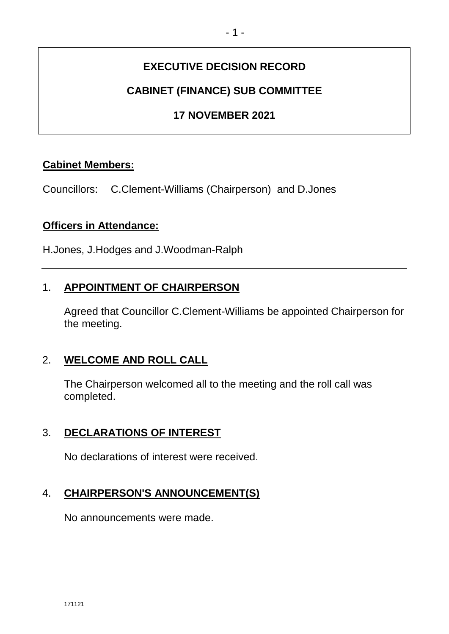# **EXECUTIVE DECISION RECORD**

# **CABINET (FINANCE) SUB COMMITTEE**

# **17 NOVEMBER 2021**

## **Cabinet Members:**

Councillors: C.Clement-Williams (Chairperson) and D.Jones

### **Officers in Attendance:**

H.Jones, J.Hodges and J.Woodman-Ralph

## 1. **APPOINTMENT OF CHAIRPERSON**

Agreed that Councillor C.Clement-Williams be appointed Chairperson for the meeting.

# 2. **WELCOME AND ROLL CALL**

The Chairperson welcomed all to the meeting and the roll call was completed.

## 3. **DECLARATIONS OF INTEREST**

No declarations of interest were received.

## 4. **CHAIRPERSON'S ANNOUNCEMENT(S)**

No announcements were made.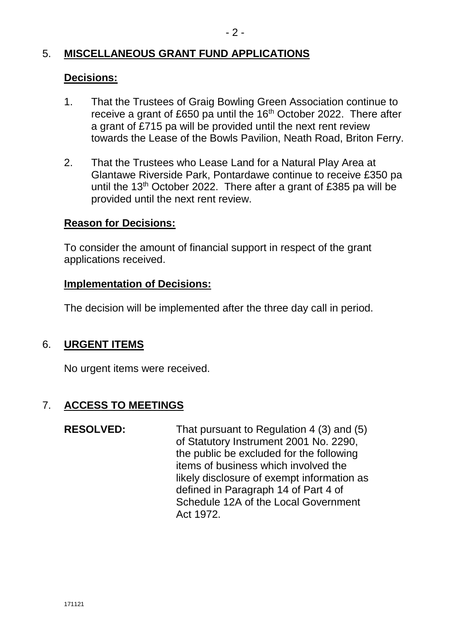## 5. **MISCELLANEOUS GRANT FUND APPLICATIONS**

### **Decisions:**

- 1. That the Trustees of Graig Bowling Green Association continue to receive a grant of £650 pa until the 16<sup>th</sup> October 2022. There after a grant of £715 pa will be provided until the next rent review towards the Lease of the Bowls Pavilion, Neath Road, Briton Ferry.
- 2. That the Trustees who Lease Land for a Natural Play Area at Glantawe Riverside Park, Pontardawe continue to receive £350 pa until the 13<sup>th</sup> October 2022. There after a grant of £385 pa will be provided until the next rent review.

### **Reason for Decisions:**

To consider the amount of financial support in respect of the grant applications received.

#### **Implementation of Decisions:**

The decision will be implemented after the three day call in period.

## 6. **URGENT ITEMS**

No urgent items were received.

# 7. **ACCESS TO MEETINGS**

**RESOLVED:** That pursuant to Regulation 4 (3) and (5) of Statutory Instrument 2001 No. 2290, the public be excluded for the following items of business which involved the likely disclosure of exempt information as defined in Paragraph 14 of Part 4 of Schedule 12A of the Local Government Act 1972.